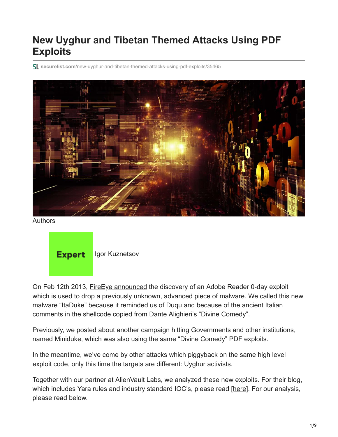# **New Uyghur and Tibetan Themed Attacks Using PDF Exploits**

**securelist.com**[/new-uyghur-and-tibetan-themed-attacks-using-pdf-exploits/35465](https://securelist.com/new-uyghur-and-tibetan-themed-attacks-using-pdf-exploits/35465)



Authors

**Expert Lgor Kuznetsov** 

On Feb 12th 2013, Fire Eye announced the discovery of an Adobe Reader 0-day exploit which is used to drop a previously unknown, advanced piece of malware. We called this new malware "ItaDuke" because it reminded us of Duqu and because of the ancient Italian comments in the shellcode copied from Dante Alighieri's "Divine Comedy".

Previously, we posted about another campaign hitting Governments and other institutions, named Miniduke, which was also using the same "Divine Comedy" PDF exploits.

In the meantime, we've come by other attacks which piggyback on the same high level exploit code, only this time the targets are different: Uyghur activists.

Together with our partner at AlienVault Labs, we analyzed these new exploits. For their blog, which includes Yara rules and industry standard IOC's, please read [\[here\]](https://www.alienvault.com/blogs/labs-research/latest-adobe-pdf-exploit-used-to-target-uyghur-and-tibetan-activists). For our analysis, please read below.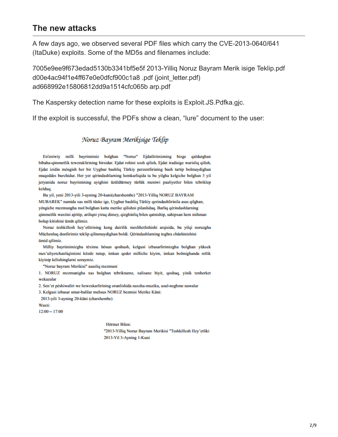#### **The new attacks**

A few days ago, we observed several PDF files which carry the CVE-2013-0640/641 (ItaDuke) exploits. Some of the MD5s and filenames include:

7005e9ee9f673edad5130b3341bf5e5f 2013-Yilliq Noruz Bayram Merik isige Teklip.pdf d00e4ac94f1e4ff67e0e0dfcf900c1a8 .pdf (joint\_letter.pdf) ad668992e15806812dd9a1514cfc065b arp.pdf

The Kaspersky detection name for these exploits is Exploit.JS.Pdfka.gjc.

If the exploit is successful, the PDFs show a clean, "lure" document to the user:

#### Noruz Bayram Merikisige Teklip

En'eniwiy milli bayrimimiz bolghan "Noruz" Ejdatlirimizning bizge qaldurghan bibaha-qimmetlik teweruklirining birsidur. Ejdat rohini xosh qilish, Ejdat iradisige warisliq qilish, Ejdat izidin méngish her bir Uyghur bashliq Türkiy perzentlirining bash tartip bolmaydighan muqeddes burchidur. Her yer qérindashlarning hemkarliqida ta bu yilgha kelgiche bolghan 5 yil jeryanida noruz bayrimining ayighini üzüldürmey türlük meniwi paaliyetler bilen tebriklep kelduq.

Bu yil, yeni 2013-yili 3-ayning 20-kuni(charshembe) "2013-Yilliq NORUZ BAYRAM MUBAREK" namida xas milli tüske ige, Uyghur bashliq Türkiy qerindashlirinila asas qilghan, yéngiche mezmungha mol bolghan katta merike qilishni pilanliduq. Barliq qérindashlarning qimmetlik waxtini ajritip, ariliqni yiraq dimey, qizghinliq bilen qatniship, sahipxan hem mihman bolup kitishini ümüt qilimiz.

Noruz teshkillesh hey'etlirining keng dairilik meslihetlishishi arqisida, bu yilqi noruzgha Müchenluq dostlirimiz teklip qilinmaydighan boldi. Qérindashlarning toghra chüshinishini ümid qilimiz.

Milliy bayrimimizgha téximu hösun qoshush, kelgusi izbasarlirimizgha bolghan yüksek mes'uliyetchanliqimizni közde tutup, imkan qeder milliche kiyim, imkan bolmighanda retlik kiyinip kélishinglarni soraymiz.

"Noruz bayram Merikisi" asasliq mezmuni

1. NORUZ mezmunigha xas bolghan tebrikname, xalisane biyit, qoshaq, yinik tenherket wekazalar

2. Sen'et péshiwaliri we heweskarlirining orunlishida naxsha-muzika, usul-neghme nawalar

3. Kelgusi izbasar smur-balilar mehsus NORUZ bezmisi Merike Küni:

2013-yili 3-ayning 20-küni (charshembe)

Waxti:

 $12:00 - 17:00$ 

Hörmet Bilen: "2013-Yilliq Noruz Bayram Merikisi "Teshkillesh Hey'etliki 2013-Yil 3-Ayning 1-Kuni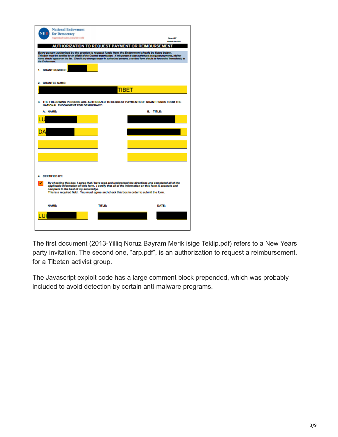| <b>National Endowment</b><br>for Democracy<br>Supporting freedom around the world                                                                                                                                                                                                                                                                                                                                      |                                                                                                                                                                                                     |       | Farms ARP<br>Revised: Arm. 2019 |
|------------------------------------------------------------------------------------------------------------------------------------------------------------------------------------------------------------------------------------------------------------------------------------------------------------------------------------------------------------------------------------------------------------------------|-----------------------------------------------------------------------------------------------------------------------------------------------------------------------------------------------------|-------|---------------------------------|
| Every person authorized by the grantee to request funds from the Endowment should be listed below.<br>This form must be certified by an official of the Grantee organization. If this person is also authorized to request payments, his/her<br>name should appear on the kst. Should any changes occur in authorized persons, a revised form should be forwarded immediately to<br>the Endowment.<br>1. GRANT NUMBER: | <b>AUTHORIZATION TO REQUEST PAYMENT OR REIMBURSEMEN</b>                                                                                                                                             |       |                                 |
| 2. GRANTEE NAME:                                                                                                                                                                                                                                                                                                                                                                                                       |                                                                                                                                                                                                     | TIBET |                                 |
| 3. THE FOLLOWING PERSONS ARE AUTHORIZED TO REQUEST PAYMENTS OF GRANT FUNDS FROM THE<br><b>NATIONAL ENDOWMENT FOR DEMOCRACY:</b><br>A. NAME:                                                                                                                                                                                                                                                                            |                                                                                                                                                                                                     |       | <b>B. TITLE:</b>                |
|                                                                                                                                                                                                                                                                                                                                                                                                                        |                                                                                                                                                                                                     |       |                                 |
|                                                                                                                                                                                                                                                                                                                                                                                                                        |                                                                                                                                                                                                     |       |                                 |
|                                                                                                                                                                                                                                                                                                                                                                                                                        |                                                                                                                                                                                                     |       |                                 |
|                                                                                                                                                                                                                                                                                                                                                                                                                        |                                                                                                                                                                                                     |       |                                 |
| <b>CERTIFIED BY:</b>                                                                                                                                                                                                                                                                                                                                                                                                   | By checking this box, I agree that I have read and understood the directions and completed all of the                                                                                               |       |                                 |
| complete to the best of my knowledge.                                                                                                                                                                                                                                                                                                                                                                                  | applicable information on this form. I certify that all of the information on this form is accurate and<br>This is a required field. You must agree and check this box in order to submit the form. |       |                                 |
| <b>NAME:</b>                                                                                                                                                                                                                                                                                                                                                                                                           | <b>TITLE:</b>                                                                                                                                                                                       |       | DATE:                           |
|                                                                                                                                                                                                                                                                                                                                                                                                                        |                                                                                                                                                                                                     |       |                                 |

The first document (2013-Yilliq Noruz Bayram Merik isige Teklip.pdf) refers to a New Years party invitation. The second one, "arp.pdf", is an authorization to request a reimbursement, for a Tibetan activist group.

The Javascript exploit code has a large comment block prepended, which was probably included to avoid detection by certain anti-malware programs.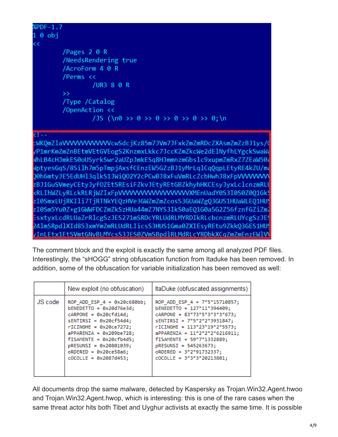| %PDF-1.7 |                                      |
|----------|--------------------------------------|
| 100      |                                      |
| $\prec$  |                                      |
|          | /Pages 20R                           |
|          | /NeedsRendering true                 |
|          | /AcroForm 4 0 R                      |
|          | /Perms <<                            |
|          | /UR3 8 0 R                           |
|          | $\rightarrow$                        |
|          | /Type /Catalog                       |
|          | /OpenAction <<                       |
|          | /JS (\n0 >> 0 >> 0 >> 0 >> 0 >> 0;\n |
|          |                                      |
|          |                                      |

cWKQmZlaVVVVVVVVVVVVcwSdcjKz85m7JVm7JFxkZmZmRDcZXAsmZmZzBJ1ys/ /P1mrKmZmZnBEtmVEtGVEogS2KnzmxLkkc7JccKZmZkcWe2dElNyfhLYgckSwaWa WhLB4cHJmkES0oUSyrkSwr2aUZpJmkESq8HJmmnzmGbslc9xupmZmRxZ7ZEaW50a NptyesGqS/8Silh7m5pTmpjAxsfCEnzEW5GZzBJ1yMrLqlCqQqpLEtyRE4kZU/ma )0h6mtyJE5EdUHl3qlkS1JWiQO2Y2cPCwBJ8xFuVmRLcZcbHwhJ8xFpVVVVVVVV zBJ1GuSVmeyCEtyJyfOZEtSREsiFZkvJEtyREtGBZkhyhHKCEsyJyxLclcnzmRLl <RLIhWZLyRLckRLRjWZIxFpVVVVVVVVVVVVVVVVVXMEnUadY0S3I0S0Z0Q1Gk zI0SmxLUjRKIli7TjRTNkYEQzHVe3GWZmZmZcosS3GUaWZgQ3GUS1HUaWLEQ1HUS zI0Sm5Yu0Z+g1GWWFDCZmZkSzHUa44mZ7NYS3IkS0aEQ1G0a5G2Z56fznfGZiZml EsxtyxLcdRLUaZrRlcgSzJES271mSRDcYRLUdRLMYRDIkRLcbcnzmRLUYcgSzJE! 241mSRpd1XId853xmYmZmRLUdRLIicsS3HUS1Gma0ZXIEsyREtu9ZkkQ3GES1HUS vInLEtx1EtSVmtGNvBLMYcsS3JES0ZVmSBpdlRLMdRLcYRDbkXCqZmZmEnzEWlVV

The comment block and the exploit is exactly the same among all analyzed PDF files. Interestingly, the "sHOGG" string obfuscation function from Itaduke has been removed. In addition, some of the obfuscation for variable initialization has been removed as well:

|         | New exploit (no obfuscation)                                                                                                                                                                                                                                                                 | ItaDuke (obfuscated assignments)                                                                                                                                                                                                                                                                                               |
|---------|----------------------------------------------------------------------------------------------------------------------------------------------------------------------------------------------------------------------------------------------------------------------------------------------|--------------------------------------------------------------------------------------------------------------------------------------------------------------------------------------------------------------------------------------------------------------------------------------------------------------------------------|
| JS code | ROP ADD ESP $4 = 0x20c680bb;$<br>$bENEDETTO = 0x20d76e3d;$<br>$c$ ARPONE = $0x20cfd14d$ ;<br>$sENTIRSI = 0x20cf54d4;$<br>$rICINGHE = 0x20ce7272;$<br>$aPPARENTA = 0x209be728$ ;<br>$fISAMENTE = 0x20cfb4d5;$<br>pRESUNSI = 0x20801039;<br>$oRDERED = 0x20ce58a6;$<br>$cOCOLLE = 0x2087d453;$ | ROP ADD ESP 4 = $7*5*15710857$ ;<br>$bENEDETTO = 127*11*394409;$<br>$c$ ARPONE = 83*73*5*3*3*3*673;<br>$sENTIRSI = 7*5*2*2*3931847;$<br>$rICINGHE = 113*23*19*2*5573;$<br>$aPPARENZA = 11*2*2*2*6216911;$<br>$fISAMENTE = 59*7*1332889;$<br>pRESUNSI = 545263673;<br>$oRDERED = 3*2*91732337;$<br>$cOCOLLE = 3*3*3*20213801$ ; |

All documents drop the same malware, detected by Kaspersky as Trojan.Win32.Agent.hwoo and Trojan.Win32.Agent.hwop, which is interesting: this is one of the rare cases when the same threat actor hits both Tibet and Uyghur activists at exactly the same time. It is possible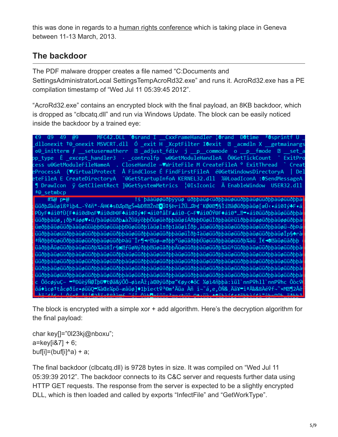this was done in regards to a [human rights conference](http://www.thetibetpost.com/en/news/international/3142-conference-examining-chinese-leadership-to-be-held-in-switzerland) which is taking place in Geneva between 11-13 March, 2013.

### **The backdoor**

The PDF malware dropper creates a file named "C:Documents and SettingsAdministratorLocal SettingsTempAcroRd32.exe" and runs it. AcroRd32.exe has a PE compilation timestamp of "Wed Jul 11 05:39:45 2012".

"AcroRd32.exe" contains an encrypted block with the final payload, an 8KB backdoor, which is dropped as "clbcatq.dll" and run via Windows Update. The block can be easily noticed inside the backdoor by a trained eye:

MFC42.DLL Osrand I CxxFrameHandler | Orand DOtime (E9 49 @9 '@snrinti dllonexit †0\_onexit MSVCRT.dll Ó \_exit H \_XcptFilter I@exit **D** \_acmdln X getmainargs  $\circ$ <sup>0</sup> initterm f setusermatherr  $\Box$  adjust fdiv j p commode o p fmode 图 set pp\_type Ê \_except\_handler3 · \_controlfp w@GetModuleHandleA Õ@GetTickCount ExitPro cess u@GetModuleFileNameA . CloseHandle -♥WriteFile M CreateFileA º ExitThread Creat eProcessA {♥VirtualProtect Å FindClose É FindFirstFileA é@GetWindowsDirectoryA l Del eteFileA E CreateDirectoryA 「@GetStartupInfoA KERNEL32.dll %@LoadIconA :@SendMessageA ¶ DrawIcon ÿ GetClientRect 1@GetSystemMetrics ¦@IsIconic Ä EnableWindow USER32.dll ª**@** setmbcp !s bääüøøüðbyyüø üðbbaüø<üðbbaüøüüðbbaüøüüðbbaüøüüðbba #%@ p>@ üüðþ∬aüøîߺìþ4…-Ý4ñ\*-ÁH€♣sÐ∬p@gŠ↔‰Ð‼@Žn@<mark>•</mark>܇§ÞriŽÜ…∬Þ¢<sup>-</sup>KØ@@¶§Ìí@âØüðþþaüø|œÛ‹•ái0‡ý♣F•á PÙyF◆ái0↑Ù{F◆ái0dÞoF♥ái0dÞ@F♣ái0‡ý◆F◄ái0↑åÈF▲ái0-C~F♥ái0ÔÝ@F◆ái0\*…‼=•ái0üüðbþàüøüüðbþà üüðþþàüø, ¡ðþªáøø♥•ü/þàüøüüðþ▲àŽÙãýöþþÖüøüèðþþàüøíÁðþþÐüøüÌðþþàüèüìðþþâüøøüðþþàüøøüðþþà üœðþþäüøüüðþààüøüüàþþÐüøüüàþþÐüøüüðþîàüøl±ðþ1àüøìÍðþ, àüøüüðþþàüøüüðþþàüøüüðþþàüøü¬ðþþá üüðþþàüøüüðþþàüøüüðþþàüøüüðþþàüøüüðþþàüøüüðþþàüøüÌðþ‡àüøüüðþþàüøüüðþþàüøüüðþþàüøÎp§♠rà ªÑðþþÐüøüÖðþþäüøüüðþþàüøüüðþÞàü~Îr¶∢r⊠üø=æðþþ°üøüäðþþÚüøüüðþþàüøüüðþ¾àü,΀∢®làüøüâðþþ üâðbbÂüøüüðbbàüøüüðb¾àü8Îr§⊠∄füøNýðbb⊠üøüâðbbÄüøüüðbbàüøüüðb¾àüºüüðbbàüøüüðbbàüøüüðbbà üüðþþàüøüüðþþàüøüüðþþàüøüüðþþàüøüüðþþàüøüüðþþàüøüüðþþàüøüüðþþàüøüüðþþàüøüüðþþàüøüüðþþàüøüüðþþà **üüðbbaüøüüðbbaüøüüðbbaüøüüðbbaüøüüðbbaüøüüðbbaüøüüðbbaüøüüðbbaüøüüðbbaüøüüðbbaig**büüðbba นินิðbbàนิซนินิðbbàนิซนินิðbbàนิซนินิðbbàนิซนินิðbbàนิซนินิðbbàนิซนินิðbbàนิซนินิðbbàนิซนินิðbbàนิซนินิðbbàนิซนินิðbbà น็นิฮิbbaนิซน์นิฮิbbaนิซน์นิฮิbbaนิซน์นิฮิbbaนิซน์นิฮิbbaนิซน์นิฮิbbaนิซน์นิฮิbbaนิซน์นิฮิbbaนิซนีนิฮิbbaนิซน์นิฮิbbaนิซน์นิฮิbba c ÔöcøýuÇ- <sup>=®</sup>ĐüèÿÑØÎþĐ♥tØä&ÿÕÔ¬øìeÅž¡àŒØýüðþœ"€øy<♣õC ½øì4ñþþà:ìül`nnP♀hll`nnP♀hc Ôòc♀ ôá♦ìcø†tåcøðïe•øüüQ=¾àŒe¼põ-æâüø]♦1þîe<t♀ª©m'Äüa Àñ i¬~á,e,ÒÑ& Ää¥=iªÄ‰&8Àé♀f¬~×M⊠¶2Âê BESABELL ASLO BELOORELOORSE SAL ASLUMENTLES OF THE ARTHROGAN BELGEMENT SHADON SALLS

The block is encrypted with a simple xor + add algorithm. Here's the decryption algorithm for the final payload:

char key[]="0l23kj@nboxu";  $a = \frac{key[187]}{6}$ buf[i]=(buf[i]^a) + a;

The final backdoor (clbcatq.dll) is 9728 bytes in size. It was compiled on "Wed Jul 11 05:39:39 2012". The backdoor connects to its C&C server and requests further data using HTTP GET requests. The response from the server is expected to be a slightly encrypted DLL, which is then loaded and called by exports "InfectFile" and "GetWorkType".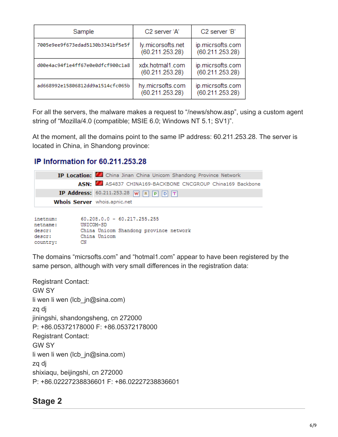| Sample                           | C2 server 'A'                        | C <sub>2</sub> server 'B'           |
|----------------------------------|--------------------------------------|-------------------------------------|
| 7005e9ee9f673edad5130b3341bf5e5f | ly.micorsofts.net<br>(60.211.253.28) | ip.micrsofts.com<br>(60.211.253.28) |
| d00e4ac94f1e4ff67e0e0dfcf900c1a8 | xdx.hotmal1.com<br>(60.211.253.28)   | ip.micrsofts.com<br>(60.211.253.28) |
| ad668992e15806812dd9a1514cfc065b | hy.micrsofts.com<br>(60.211.253.28)  | ip.micrsofts.com<br>(60.211.253.28) |

For all the servers, the malware makes a request to "/news/show.asp", using a custom agent string of "Mozilla/4.0 (compatible; MSIE 6.0; Windows NT 5.1; SV1)".

At the moment, all the domains point to the same IP address: 60.211.253.28. The server is located in China, in Shandong province:

#### IP Information for 60.211.253.28

|                                     | <b>IP Location:</b> China Jinan China Unicom Shandong Province Network               |
|-------------------------------------|--------------------------------------------------------------------------------------|
|                                     | ASN: 454837 CHINA169-BACKBONE CNCGROUP China169 Backbone                             |
|                                     | <b>IP Address:</b> 60.211.253.28 $\boxed{W \boxed{R \boxed{P}} \boxed{D} \boxed{T}}$ |
| <b>Whois Server</b> whois.apnic.net |                                                                                      |
|                                     |                                                                                      |

| inetnum: |           |              | $60.208.0.0 - 60.217.255.255$ |                                        |  |
|----------|-----------|--------------|-------------------------------|----------------------------------------|--|
| netname: | UNICOM-SD |              |                               |                                        |  |
| descr:   |           |              |                               | China Unicom Shandong province network |  |
| descr:   |           | China Unicom |                               |                                        |  |
| country: | CN        |              |                               |                                        |  |

The domains "micrsofts.com" and "hotmal1.com" appear to have been registered by the same person, although with very small differences in the registration data:

Registrant Contact: GW SY li wen li wen (lcb\_jn@sina.com) zq dj jiningshi, shandongsheng, cn 272000 P: +86.05372178000 F: +86.05372178000 Registrant Contact: GW SY li wen li wen (lcb\_jn@sina.com) zq dj shixiaqu, beijingshi, cn 272000 P: +86.02227238836601 F: +86.02227238836601

# **Stage 2**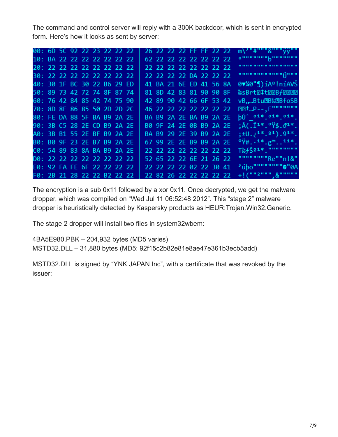The command and control server will reply with a 300K backdoor, which is sent in encrypted form. Here's how it looks as sent by server:

| 00: 6D 5C 92 22 23 22 22 22 |  |  |  |  | 26 22 22 22 FF FF 22 22 |  |  |  | $m\$ "#"""&""" $\ddot{v}$                           |
|-----------------------------|--|--|--|--|-------------------------|--|--|--|-----------------------------------------------------|
| 10: BA 22 22 22 22 22 22 22 |  |  |  |  | 62 22 22 22 22 22 22 22 |  |  |  | <u>սոսպետոսոստ</u>                                  |
| 20: 22 22 22 22 22 22 22 22 |  |  |  |  | 22 22 22 22 22 22 22 22 |  |  |  |                                                     |
| 30: 22 22 22 22 22 22 22 22 |  |  |  |  | 22 22 22 22 DA 22 22 22 |  |  |  | առուսուսության                                      |
| 40: 30 1F BC 30 22 B6 29 ED |  |  |  |  | 41 BA 21 6E ED 41 56 8A |  |  |  | $0\nabla$ %0"]) íAº ! níAVŠ                         |
| 50: 89 73 42 72 74 8F 87 74 |  |  |  |  | 81 8D 42 83 81 90 90 8F |  |  |  | %sBrt@#t@@Bf@@@@                                    |
| 60: 76 42 84 85 42 74 75 90 |  |  |  |  | 42 89 90 42 66 6F 53 42 |  |  |  | vB,Btu2B‰2BfoSB                                     |
| 70: 8D 8F 86 85 50 2D 2D 2C |  |  |  |  | 46 22 22 22 22 22 22 22 |  |  |  | 图1.P--, F""""""""                                   |
| 80: FE DA 88 5F BA B9 2A 2E |  |  |  |  | BA B9 2A 2E BA B9 2A 2E |  |  |  | $b\acute{0}$ $21*$ $21*$ $21*$                      |
| 90: 3B C5 28 2E CD B9 2A 2E |  |  |  |  | B0 9F 24 2E 0B B9 2A 2E |  |  |  | ; $A(.11*,044,04*.$                                 |
| A0: 3B B1 55 2E BF B9 2A 2E |  |  |  |  | BA B9 29 2E 39 B9 2A 2E |  |  |  | $; \pm 0.1^{1*}.$ $01$ , $91*$ .                    |
| B0: B0 9F 23 2E B7 B9 2A 2E |  |  |  |  | 67 99 2E 2E B9 B9 2A 2E |  |  |  | $9\ddot{v}$ #. $1*$ . $g^{m}$ . $11*$ .             |
| C0: 54 89 83 8A BA B9 2A 2E |  |  |  |  | 22 22 22 22 22 22 22 22 |  |  |  | $T^s_{\infty}f\check{S}$ <sup>21*</sup> ."""""""""" |
| D0: 22 22 22 22 22 22 22 22 |  |  |  |  | 52 65 22 22 6E 21 26 22 |  |  |  | """"""""Re""n!&"                                    |
| E0: 92 FA FE 6F 22 22 22 22 |  |  |  |  | 22 22 22 22 02 22 30 41 |  |  |  | 'úbo"""""""""0'A                                    |
| F0: 2B 21 28 22 22 B2 22 22 |  |  |  |  | 22 82 26 22 22 22 22 22 |  |  |  | $+$ ! ("" <sup>2"""</sup> , &"""""                  |

The encryption is a sub 0x11 followed by a xor 0x11. Once decrypted, we get the malware dropper, which was compiled on "Wed Jul 11 06:52:48 2012". This "stage 2" malware dropper is heuristically detected by Kaspersky products as HEUR:Trojan.Win32.Generic.

The stage 2 dropper will install two files in system32wbem:

4BA5E980.PBK – 204,932 bytes (MD5 varies)

MSTD32.DLL – 31,880 bytes (MD5: 92f15c2b82e81e8ae47e361b3ecb5add)

MSTD32.DLL is signed by "YNK JAPAN Inc", with a certificate that was revoked by the issuer: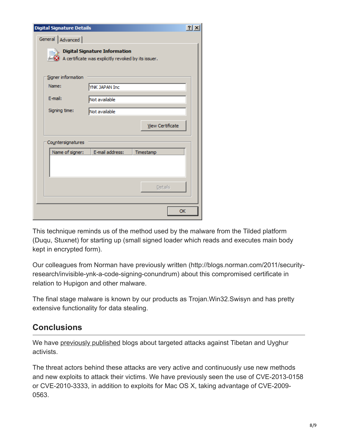| <b>Digital Signature Details</b> |                                                                                             |                  | $ ?  \times$ |
|----------------------------------|---------------------------------------------------------------------------------------------|------------------|--------------|
| General   Advanced               |                                                                                             |                  |              |
|                                  | <b>Digital Signature Information</b><br>A certificate was explicitly revoked by its issuer. |                  |              |
| Signer information               |                                                                                             |                  |              |
| Name:                            | YNK JAPAN Inc                                                                               |                  |              |
| E-mail:                          | Not available                                                                               |                  |              |
| Signing time:                    | Not available                                                                               |                  |              |
|                                  |                                                                                             | View Certificate |              |
| Countersignatures                |                                                                                             |                  |              |
| Name of signer:                  | E-mail address:                                                                             | Timestamp        |              |
|                                  |                                                                                             |                  |              |
|                                  |                                                                                             | Details          |              |
|                                  |                                                                                             |                  | OK           |

This technique reminds us of the method used by the malware from the Tilded platform (Duqu, Stuxnet) for starting up (small signed loader which reads and executes main body kept in encrypted form).

Our colleagues from Norman have previously written (http://blogs.norman.com/2011/securityresearch/invisible-ynk-a-code-signing-conundrum) about this compromised certificate in relation to Hupigon and other malware.

The final stage malware is known by our products as Trojan.Win32.Swisyn and has pretty extensive functionality for data stealing.

# **Conclusions**

We have [previously published](https://securelist.com/cyber-attacks-against-uyghur-mac-os-x-users-intensify/64259/) blogs about targeted attacks against Tibetan and Uyghur activists.

The threat actors behind these attacks are very active and continuously use new methods and new exploits to attack their victims. We have previously seen the use of CVE-2013-0158 or CVE-2010-3333, in addition to exploits for Mac OS X, taking advantage of CVE-2009- 0563.